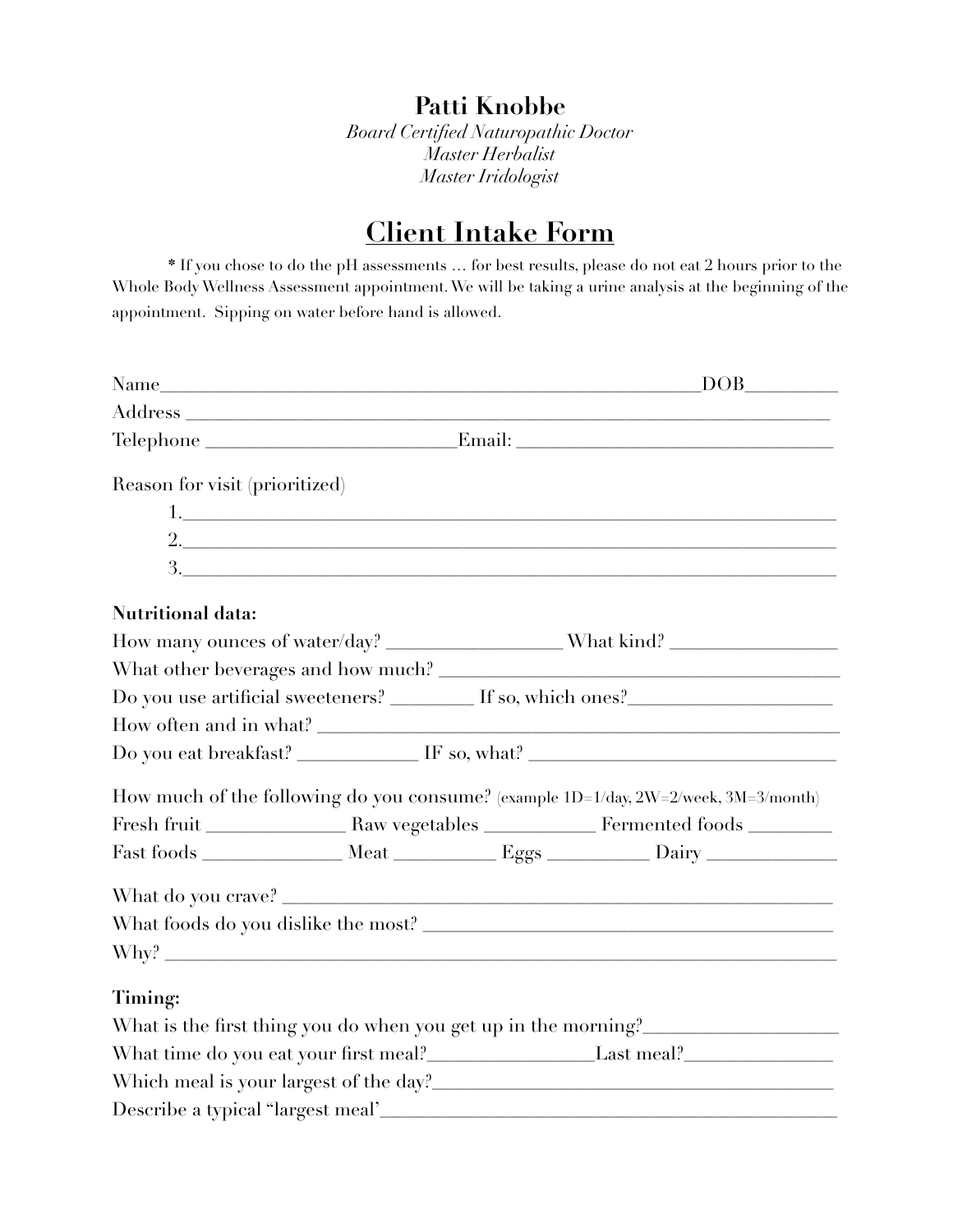**Patti Knobbe** 

*Board Certified Naturopathic Doctor Master Herbalist Master Iridologist* 

# **Client Intake Form**

 **\*** If you chose to do the pH assessments … for best results, please do not eat 2 hours prior to the Whole Body Wellness Assessment appointment. We will be taking a urine analysis at the beginning of the appointment. Sipping on water before hand is allowed.

|                                                                          |  |  | $Name$ DOB                                                                          |
|--------------------------------------------------------------------------|--|--|-------------------------------------------------------------------------------------|
|                                                                          |  |  |                                                                                     |
|                                                                          |  |  | Telephone Email: Email:                                                             |
| Reason for visit (prioritized)                                           |  |  |                                                                                     |
|                                                                          |  |  | $1.$ $\overline{\phantom{a}}$                                                       |
|                                                                          |  |  | 2.                                                                                  |
|                                                                          |  |  | 3.                                                                                  |
| <b>Nutritional data:</b>                                                 |  |  |                                                                                     |
|                                                                          |  |  |                                                                                     |
|                                                                          |  |  |                                                                                     |
|                                                                          |  |  | Do you use artificial sweeteners? ________ If so, which ones? __________________    |
|                                                                          |  |  |                                                                                     |
|                                                                          |  |  | Do you eat breakfast? ___________ IF so, what? _________________________________    |
|                                                                          |  |  | How much of the following do you consume? (example 1D=1/day, 2W=2/week, 3M=3/month) |
|                                                                          |  |  |                                                                                     |
|                                                                          |  |  |                                                                                     |
|                                                                          |  |  |                                                                                     |
|                                                                          |  |  |                                                                                     |
|                                                                          |  |  | Why?                                                                                |
| Timing:                                                                  |  |  |                                                                                     |
|                                                                          |  |  | What is the first thing you do when you get up in the morning?                      |
| What time do you eat your first meal?<br><u>Last meal?</u><br>Last meal? |  |  |                                                                                     |
|                                                                          |  |  |                                                                                     |
|                                                                          |  |  |                                                                                     |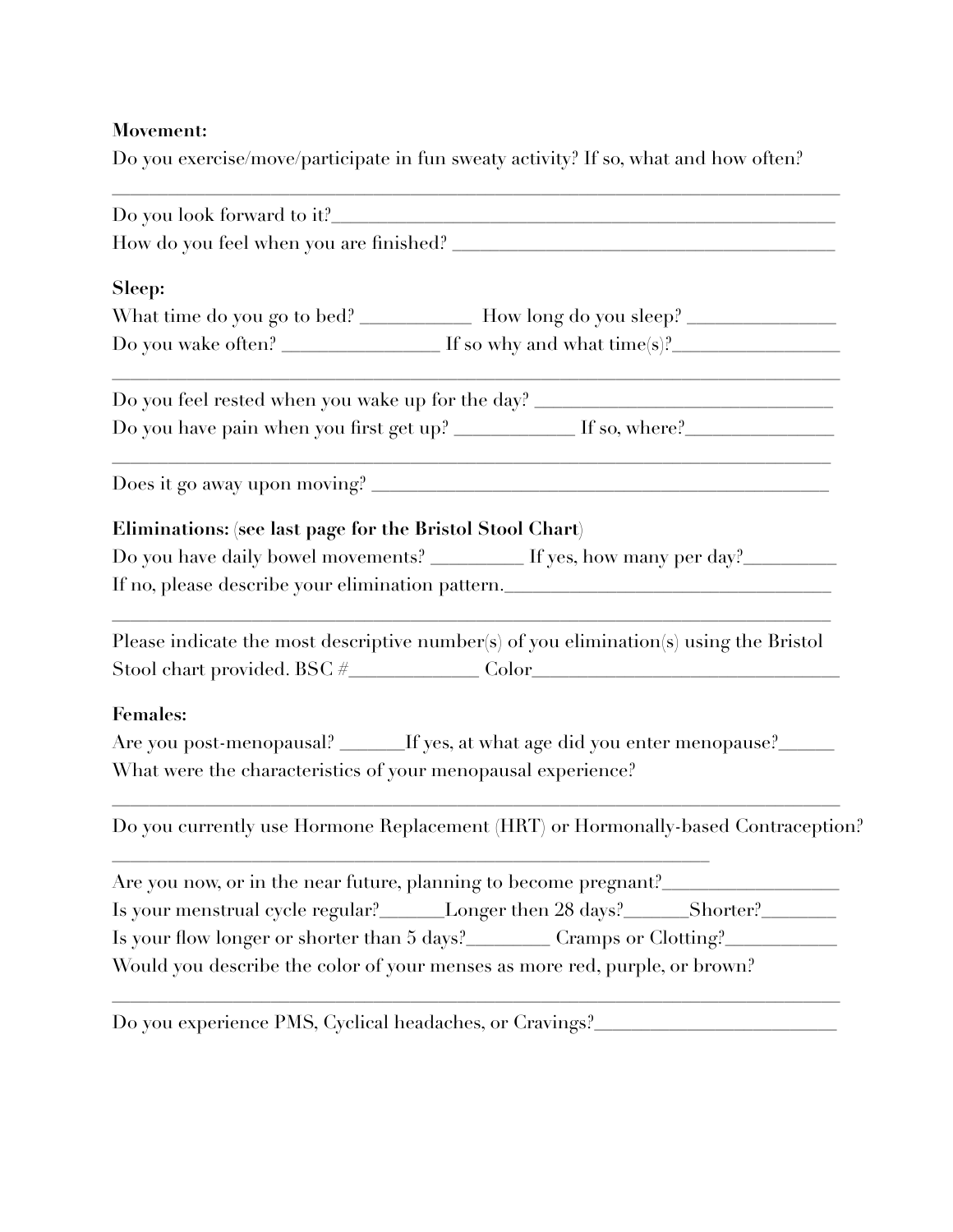## **Movement:**

Do you exercise/move/participate in fun sweaty activity? If so, what and how often?

| Sleep:<br>What time do you go to bed? ____________ How long do you sleep? ________________       |  |  |  |  |
|--------------------------------------------------------------------------------------------------|--|--|--|--|
| Do you wake often? $\sqrt{ }$ $\qquad \qquad$ If so why and what time(s)? $\qquad \qquad \qquad$ |  |  |  |  |
| Do you feel rested when you wake up for the day? _______________________________                 |  |  |  |  |
| Do you have pain when you first get up? ____________ If so, where?______________                 |  |  |  |  |
|                                                                                                  |  |  |  |  |
| Eliminations: (see last page for the Bristol Stool Chart)                                        |  |  |  |  |
| Do you have daily bowel movements? _________ If yes, how many per day?__________                 |  |  |  |  |
| If no, please describe your elimination pattern.________________________________                 |  |  |  |  |
| Please indicate the most descriptive number(s) of you elimination(s) using the Bristol           |  |  |  |  |
| <b>Females:</b>                                                                                  |  |  |  |  |
| Are you post-menopausal? ______If yes, at what age did you enter menopause?_____                 |  |  |  |  |
| What were the characteristics of your menopausal experience?                                     |  |  |  |  |
| Do you currently use Hormone Replacement (HRT) or Hormonally-based Contraception?                |  |  |  |  |
| Are you now, or in the near future, planning to become pregnant?__                               |  |  |  |  |
| Is your menstrual cycle regular?<br><u>Longer then 28 days?</u> Shorter?<br><u>Shorter</u> ?     |  |  |  |  |
| Is your flow longer or shorter than 5 days? Cramps or Clotting?                                  |  |  |  |  |
| Would you describe the color of your menses as more red, purple, or brown?                       |  |  |  |  |

Do you experience PMS, Cyclical headaches, or Cravings?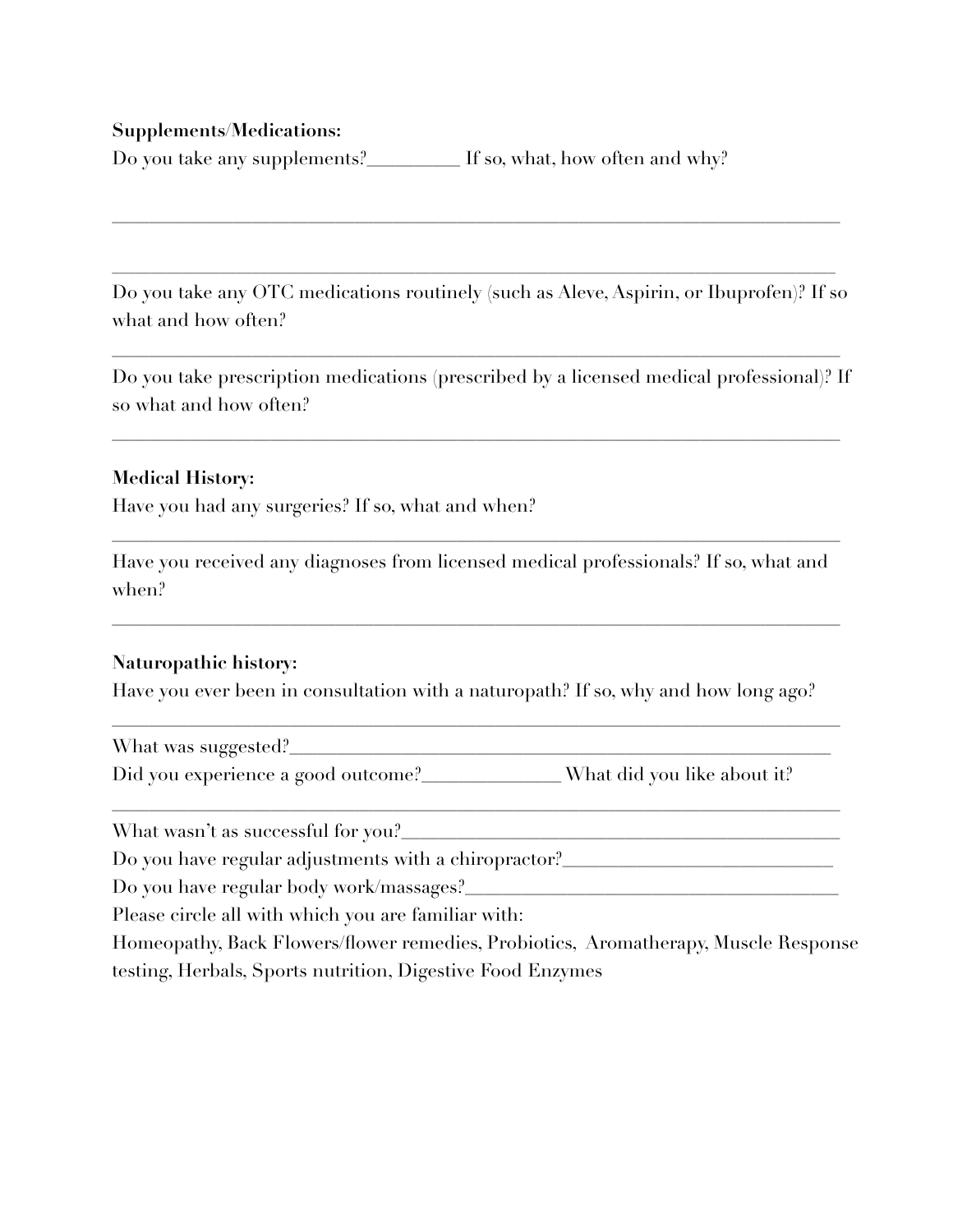#### **Supplements/Medications:**

Do you take any supplements?\_\_\_\_\_\_\_\_\_ If so, what, how often and why?

Do you take any OTC medications routinely (such as Aleve, Aspirin, or Ibuprofen)? If so what and how often?

\_\_\_\_\_\_\_\_\_\_\_\_\_\_\_\_\_\_\_\_\_\_\_\_\_\_\_\_\_\_\_\_\_\_\_\_\_\_\_\_\_\_\_\_\_\_\_\_\_\_\_\_\_\_\_\_\_\_\_\_\_\_\_\_\_\_\_\_\_\_\_\_\_\_\_\_\_\_

 $\mathcal{L}_\mathcal{L} = \{ \mathcal{L}_\mathcal{L} = \{ \mathcal{L}_\mathcal{L} = \{ \mathcal{L}_\mathcal{L} = \{ \mathcal{L}_\mathcal{L} = \{ \mathcal{L}_\mathcal{L} = \{ \mathcal{L}_\mathcal{L} = \{ \mathcal{L}_\mathcal{L} = \{ \mathcal{L}_\mathcal{L} = \{ \mathcal{L}_\mathcal{L} = \{ \mathcal{L}_\mathcal{L} = \{ \mathcal{L}_\mathcal{L} = \{ \mathcal{L}_\mathcal{L} = \{ \mathcal{L}_\mathcal{L} = \{ \mathcal{L}_\mathcal{$ 

\_\_\_\_\_\_\_\_\_\_\_\_\_\_\_\_\_\_\_\_\_\_\_\_\_\_\_\_\_\_\_\_\_\_\_\_\_\_\_\_\_\_\_\_\_\_\_\_\_\_\_\_\_\_\_\_\_\_\_\_\_\_\_\_\_\_\_\_\_\_\_\_\_\_\_\_\_\_

Do you take prescription medications (prescribed by a licensed medical professional)? If so what and how often?

\_\_\_\_\_\_\_\_\_\_\_\_\_\_\_\_\_\_\_\_\_\_\_\_\_\_\_\_\_\_\_\_\_\_\_\_\_\_\_\_\_\_\_\_\_\_\_\_\_\_\_\_\_\_\_\_\_\_\_\_\_\_\_\_\_\_\_\_\_\_\_\_\_\_\_\_\_\_

### **Medical History:**

Have you had any surgeries? If so, what and when?

Have you received any diagnoses from licensed medical professionals? If so, what and when?

\_\_\_\_\_\_\_\_\_\_\_\_\_\_\_\_\_\_\_\_\_\_\_\_\_\_\_\_\_\_\_\_\_\_\_\_\_\_\_\_\_\_\_\_\_\_\_\_\_\_\_\_\_\_\_\_\_\_\_\_\_\_\_\_\_\_\_\_\_\_\_\_\_\_\_\_\_\_

\_\_\_\_\_\_\_\_\_\_\_\_\_\_\_\_\_\_\_\_\_\_\_\_\_\_\_\_\_\_\_\_\_\_\_\_\_\_\_\_\_\_\_\_\_\_\_\_\_\_\_\_\_\_\_\_\_\_\_\_\_\_\_\_\_\_\_\_\_\_\_\_\_\_\_\_\_\_

#### **Naturopathic history:**

Have you ever been in consultation with a naturopath? If so, why and how long ago?

\_\_\_\_\_\_\_\_\_\_\_\_\_\_\_\_\_\_\_\_\_\_\_\_\_\_\_\_\_\_\_\_\_\_\_\_\_\_\_\_\_\_\_\_\_\_\_\_\_\_\_\_\_\_\_\_\_\_\_\_\_\_\_\_\_\_\_\_\_\_\_\_\_\_\_\_\_\_

\_\_\_\_\_\_\_\_\_\_\_\_\_\_\_\_\_\_\_\_\_\_\_\_\_\_\_\_\_\_\_\_\_\_\_\_\_\_\_\_\_\_\_\_\_\_\_\_\_\_\_\_\_\_\_\_\_\_\_\_\_\_\_\_\_\_\_\_\_\_\_\_\_\_\_\_\_\_

What was suggested? Did you experience a good outcome?<br>Nhat did you like about it?

What wasn't as successful for you?

Do you have regular adjustments with a chiropractor?\_\_\_\_\_\_\_\_\_\_\_\_\_\_\_\_\_\_\_\_\_\_\_\_\_\_\_\_\_

Do you have regular body work/massages?

Please circle all with which you are familiar with:

Homeopathy, Back Flowers/flower remedies, Probiotics, Aromatherapy, Muscle Response testing, Herbals, Sports nutrition, Digestive Food Enzymes